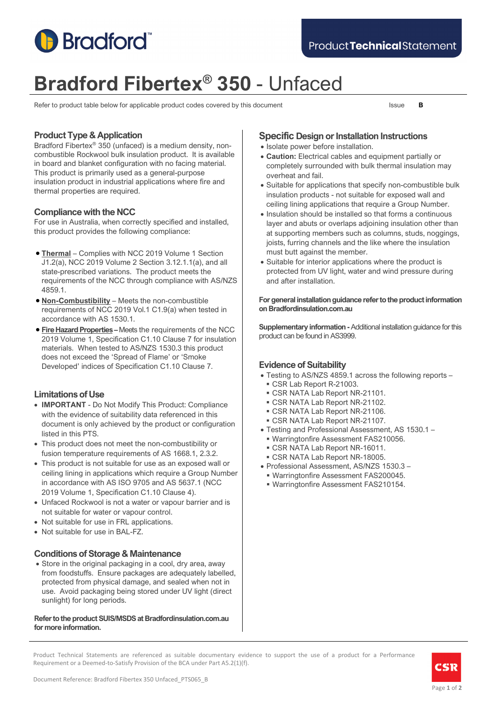

# **Bradford Fibertex® 350** - Unfaced

Refer to product table below for applicable product codes covered by this document Issue **B** 

# **Product Type & Application**

Bradford Fibertex® 350 (unfaced) is a medium density, noncombustible Rockwool bulk insulation product. It is available in board and blanket configuration with no facing material. This product is primarily used as a general-purpose insulation product in industrial applications where fire and thermal properties are required.

# **Compliance with the NCC**

For use in Australia, when correctly specified and installed, this product provides the following compliance:

- **Thermal** Complies with NCC 2019 Volume 1 Section J1.2(a), NCC 2019 Volume 2 Section 3.12.1.1(a), and all state-prescribed variations. The product meets the requirements of the NCC through compliance with AS/NZS 4859.1.
- **Non-Combustibility** Meets the non-combustible requirements of NCC 2019 Vol.1 C1.9(a) when tested in accordance with AS 1530.1.
- **Fire Hazard Properties –** Meets the requirements of the NCC 2019 Volume 1, Specification C1.10 Clause 7 for insulation materials. When tested to AS/NZS 1530.3 this product does not exceed the 'Spread of Flame' or 'Smoke Developed' indices of Specification C1.10 Clause 7.

# **Limitations of Use**

- **IMPORTANT** Do Not Modify This Product: Compliance with the evidence of suitability data referenced in this document is only achieved by the product or configuration listed in this PTS.
- This product does not meet the non-combustibility or fusion temperature requirements of AS 1668.1, 2.3.2.
- This product is not suitable for use as an exposed wall or ceiling lining in applications which require a Group Number in accordance with AS ISO 9705 and AS 5637.1 (NCC 2019 Volume 1, Specification C1.10 Clause 4).
- Unfaced Rockwool is not a water or vapour barrier and is not suitable for water or vapour control.
- Not suitable for use in FRL applications.
- Not suitable for use in BAL-FZ.

# **Conditions of Storage & Maintenance**

• Store in the original packaging in a cool, dry area, away from foodstuffs. Ensure packages are adequately labelled, protected from physical damage, and sealed when not in use. Avoid packaging being stored under UV light (direct sunlight) for long periods.

**Refer to the product SUIS/MSDS at Bradfordinsulation.com.au for more information.**

# **Specific Design or Installation Instructions**

- Isolate power before installation.
- **Caution:** Electrical cables and equipment partially or completely surrounded with bulk thermal insulation may overheat and fail.
- Suitable for applications that specify non-combustible bulk insulation products - not suitable for exposed wall and ceiling lining applications that require a Group Number.
- Insulation should be installed so that forms a continuous layer and abuts or overlaps adjoining insulation other than at supporting members such as columns, studs, noggings, joists, furring channels and the like where the insulation must butt against the member.
- Suitable for interior applications where the product is protected from UV light, water and wind pressure during and after installation.

#### **For general installation guidance refer to the product information on Bradfordinsulation.com.au**

**Supplementary information -**Additional installation guidance for this product can be found in AS3999.

# **Evidence of Suitability**

- Testing to AS/NZS 4859.1 across the following reports
	- CSR Lab Report R-21003.
	- CSR NATA Lab Report NR-21101.
	- CSR NATA Lab Report NR-21102.
	- CSR NATA Lab Report NR-21106.
	- CSR NATA Lab Report NR-21107.
- Testing and Professional Assessment, AS 1530.1
	- Warringtonfire Assessment FAS210056.
- CSR NATA Lab Report NR-16011.
- CSR NATA Lab Report NR-18005.
- Professional Assessment, AS/NZS 1530.3 –
- Warringtonfire Assessment FAS200045.
- Warringtonfire Assessment FAS210154.